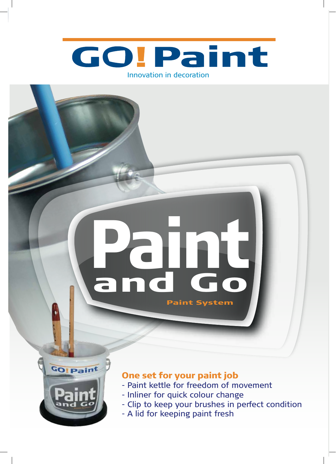

# and Go **Paint** Paint System



## One set for your paint job

- Paint kettle for freedom of movement
- Inliner for quick colour change
- Clip to keep your brushes in perfect condition
- A lid for keeping paint fresh